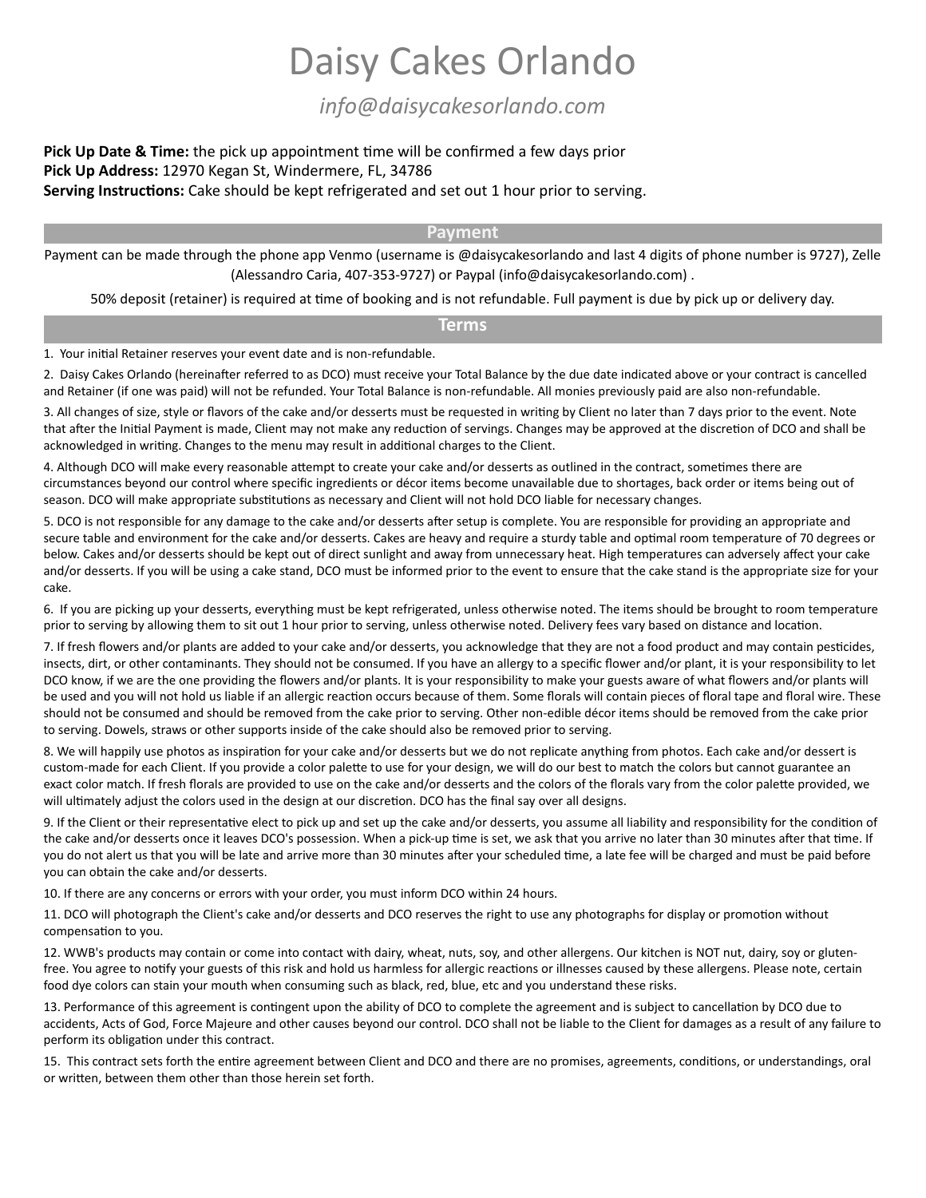# Daisy Cakes Orlando

*info@daisycakesorlando.com*

## **Pick Up Date & Time:** the pick up appointment time will be confirmed a few days prior **Pick Up Address:** 12970 Kegan St, Windermere, FL, 34786 Serving Instructions: Cake should be kept refrigerated and set out 1 hour prior to serving.

#### **Payment**

Payment can be made through the phone app Venmo (username is @daisycakesorlando and last 4 digits of phone number is 9727), Zelle (Alessandro Caria, 407-353-9727) or Paypal (info@daisycakesorlando.com) .

50% deposit (retainer) is required at time of booking and is not refundable. Full payment is due by pick up or delivery day.

## **Terms**

1. Your initial Retainer reserves your event date and is non-refundable.

2. Daisy Cakes Orlando (hereinafter referred to as DCO) must receive your Total Balance by the due date indicated above or your contract is cancelled and Retainer (if one was paid) will not be refunded. Your Total Balance is non-refundable. All monies previously paid are also non-refundable.

3. All changes of size, style or flavors of the cake and/or desserts must be requested in writing by Client no later than 7 days prior to the event. Note that after the Initial Payment is made, Client may not make any reduction of servings. Changes may be approved at the discretion of DCO and shall be acknowledged in writing. Changes to the menu may result in additional charges to the Client.

4. Although DCO will make every reasonable attempt to create your cake and/or desserts as outlined in the contract, sometimes there are circumstances beyond our control where specific ingredients or décor items become unavailable due to shortages, back order or items being out of season. DCO will make appropriate substitutions as necessary and Client will not hold DCO liable for necessary changes.

5. DCO is not responsible for any damage to the cake and/or desserts after setup is complete. You are responsible for providing an appropriate and secure table and environment for the cake and/or desserts. Cakes are heavy and require a sturdy table and optimal room temperature of 70 degrees or below. Cakes and/or desserts should be kept out of direct sunlight and away from unnecessary heat. High temperatures can adversely affect your cake and/or desserts. If you will be using a cake stand, DCO must be informed prior to the event to ensure that the cake stand is the appropriate size for your cake.

6. If you are picking up your desserts, everything must be kept refrigerated, unless otherwise noted. The items should be brought to room temperature prior to serving by allowing them to sit out 1 hour prior to serving, unless otherwise noted. Delivery fees vary based on distance and location.

7. If fresh flowers and/or plants are added to your cake and/or desserts, you acknowledge that they are not a food product and may contain pesticides, insects, dirt, or other contaminants. They should not be consumed. If you have an allergy to a specific flower and/or plant, it is your responsibility to let DCO know, if we are the one providing the flowers and/or plants. It is your responsibility to make your guests aware of what flowers and/or plants will be used and you will not hold us liable if an allergic reaction occurs because of them. Some florals will contain pieces of floral tape and floral wire. These should not be consumed and should be removed from the cake prior to serving. Other non-edible décor items should be removed from the cake prior to serving. Dowels, straws or other supports inside of the cake should also be removed prior to serving.

8. We will happily use photos as inspiration for your cake and/or desserts but we do not replicate anything from photos. Each cake and/or dessert is custom-made for each Client. If you provide a color palette to use for your design, we will do our best to match the colors but cannot guarantee an exact color match. If fresh florals are provided to use on the cake and/or desserts and the colors of the florals vary from the color palette provided, we will ultimately adjust the colors used in the design at our discretion. DCO has the final say over all designs.

9. If the Client or their representative elect to pick up and set up the cake and/or desserts, you assume all liability and responsibility for the condition of the cake and/or desserts once it leaves DCO's possession. When a pick-up time is set, we ask that you arrive no later than 30 minutes after that time. If you do not alert us that you will be late and arrive more than 30 minutes after your scheduled time, a late fee will be charged and must be paid before you can obtain the cake and/or desserts.

10. If there are any concerns or errors with your order, you must inform DCO within 24 hours.

11. DCO will photograph the Client's cake and/or desserts and DCO reserves the right to use any photographs for display or promotion without compensation to you.

12. WWB's products may contain or come into contact with dairy, wheat, nuts, soy, and other allergens. Our kitchen is NOT nut, dairy, soy or glutenfree. You agree to notify your guests of this risk and hold us harmless for allergic reactions or illnesses caused by these allergens. Please note, certain food dye colors can stain your mouth when consuming such as black, red, blue, etc and you understand these risks.

13. Performance of this agreement is contingent upon the ability of DCO to complete the agreement and is subject to cancellation by DCO due to accidents, Acts of God, Force Majeure and other causes beyond our control. DCO shall not be liable to the Client for damages as a result of any failure to perform its obligation under this contract.

15. This contract sets forth the entire agreement between Client and DCO and there are no promises, agreements, conditions, or understandings, oral or written, between them other than those herein set forth.